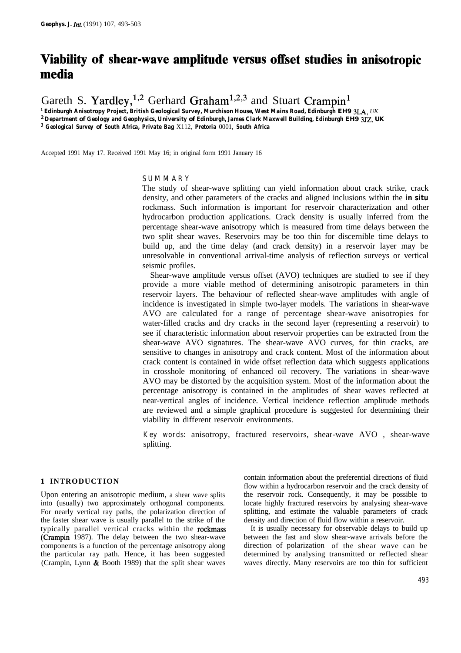# **Viability of shear-wave amplitude versus offset studies in anisotropic media**

Gareth S. Yardley,<sup>1,2</sup> Gerhard Graham<sup>1,2,3</sup> and Stuart Crampin<sup>1</sup>

*' Edinburgh Anisotropy Project, British Geological Survey, Murchison House, West Mains Road, Edinburgh* **EH9 3LA,** *UK*

*2 Department of Geology and Geophysics, University of Edinburgh, James Clark Maxwell Building, Edinburgh* **EH9 3JZ, UK**

*3 Geological Survey of South Africa, Private Bag* X112, *Pretoria* 0001, *South Africa*

Accepted 1991 May 17. Received 1991 May 16; in original form 1991 January 16

# **SUMMARY**

The study of shear-wave splitting can yield information about crack strike, crack density, and other parameters of the cracks and aligned inclusions within the *in situ* rockmass. Such information is important for reservoir characterization and other hydrocarbon production applications. Crack density is usually inferred from the percentage shear-wave anisotropy which is measured from time delays between the two split shear waves. Reservoirs may be too thin for discernible time delays to build up, and the time delay (and crack density) in a reservoir layer may be unresolvable in conventional arrival-time analysis of reflection surveys or vertical seismic profiles.

Shear-wave amplitude versus offset (AVO) techniques are studied to see if they provide a more viable method of determining anisotropic parameters in thin reservoir layers. The behaviour of reflected shear-wave amplitudes with angle of incidence is investigated in simple two-layer models. The variations in shear-wave AVO are calculated for a range of percentage shear-wave anisotropies for water-filled cracks and dry cracks in the second layer (representing a reservoir) to see if characteristic information about reservoir properties can be extracted from the shear-wave AVO signatures. The shear-wave AVO curves, for thin cracks, are sensitive to changes in anisotropy and crack content. Most of the information about crack content is contained in wide offset reflection data which suggests applications in crosshole monitoring of enhanced oil recovery. The variations in shear-wave AVO may be distorted by the acquisition system. Most of the information about the percentage anisotropy is contained in the amplitudes of shear waves reflected at near-vertical angles of incidence. Vertical incidence reflection amplitude methods are reviewed and a simple graphical procedure is suggested for determining their viability in different reservoir environments.

**Key words:** anisotropy, fractured reservoirs, shear-wave AVO , shear-wave splitting.

# **1 INTRODUCTION**

Upon entering an anisotropic medium, a shear wave splits into (usually) two approximately orthogonal components. For nearly vertical ray paths, the polarization direction of the faster shear wave is usually parallel to the strike of the typically parallel vertical cracks within the rockmass (Crampin 1987). The delay between the two shear-wave components is a function of the percentage anisotropy along the particular ray path. Hence, it has been suggested (Crampin, Lynn & Booth 1989) that the split shear waves contain information about the preferential directions of fluid flow within a hydrocarbon reservoir and the crack density of the reservoir rock. Consequently, it may be possible to locate highly fractured reservoirs by analysing shear-wave splitting, and estimate the valuable parameters of crack density and direction of fluid flow within a reservoir.

It is usually necessary for observable delays to build up between the fast and slow shear-wave arrivals before the direction of polarization of the shear wave can be determined by analysing transmitted or reflected shear waves directly. Many reservoirs are too thin for sufficient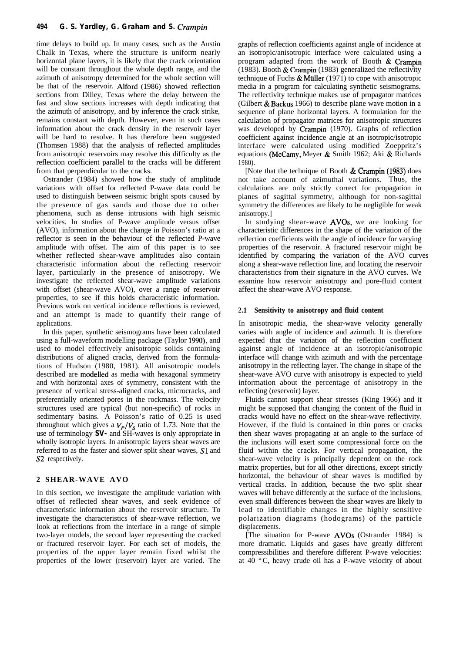time delays to build up. In many cases, such as the Austin Chalk in Texas, where the structure is uniform nearly horizontal plane layers, it is likely that the crack orientation will be constant throughout the whole depth range, and the azimuth of anisotropy determined for the whole section will be that of the reservoir. Alford (1986) showed reflection sections from Dilley, Texas where the delay between the fast and slow sections increases with depth indicating that the azimuth of anisotropy, and by inference the crack strike, remains constant with depth. However, even in such cases information about the crack density in the reservoir layer will be hard to resolve. It has therefore been suggested (Thomsen 1988) that the analysis of reflected amplitudes from anisotropic reservoirs may resolve this difficulty as the reflection coefficient parallel to the cracks will be different from that perpendicular to the cracks.

Ostrander (1984) showed how the study of amplitude variations with offset for reflected P-wave data could be used to distinguish between seismic bright spots caused by the presence of gas sands and those due to other phenomena, such as dense intrusions with high seismic velocities. In studies of P-wave amplitude versus offset (AVO), information about the change in Poisson's ratio at a reflector is seen in the behaviour of the reflected P-wave amplitude with offset. The aim of this paper is to see whether reflected shear-wave amplitudes also contain characteristic information about the reflecting reservoir layer, particularly in the presence of anisotropy. We investigate the reflected shear-wave amplitude variations with offset (shear-wave AVO), over a range of reservoir properties, to see if this holds characteristic information. Previous work on vertical incidence reflections is reviewed, and an attempt is made to quantify their range of applications.

In this paper, synthetic seismograms have been calculated using a full-waveform modelling package (Taylor 1990), and used to model effectively anisotropic solids containing distributions of aligned cracks, derived from the formulations of Hudson (1980, 1981). All anisotropic models described are modelled as media with hexagonal symmetry and with horizontal axes of symmetry, consistent with the presence of vertical stress-aligned cracks, microcracks, and preferentially oriented pores in the rockmass. The velocity structures used are typical (but non-specific) of rocks in sedimentary basins. A Poisson's ratio of 0.25 is used throughout which gives a  $V_P/V_S$  ratio of 1.73. Note that the use of terminology *SV-* and SH-waves is only appropriate in wholly isotropic layers. In anisotropic layers shear waves are referred to as the faster and slower split shear waves,  $S1$  and S<sub>2</sub> respectively.

# **2 SHEAR-WAVE AVO**

In this section, we investigate the amplitude variation with offset of reflected shear waves, and seek evidence of characteristic information about the reservoir structure. To investigate the characteristics of shear-wave reflection, we look at reflections from the interface in a range of simple two-layer models, the second layer representing the cracked or fractured reservoir layer. For each set of models, the properties of the upper layer remain fixed whilst the properties of the lower (reservoir) layer are varied. The

graphs of reflection coefficients against angle of incidence at an isotropic/anisotropic interface were calculated using a program adapted from the work of Booth & Crampin (1983). Booth  $&$  Crampin (1983) generalized the reflectivity technique of Fuchs  $\&$  Müller (1971) to cope with anisotropic media in a program for calculating synthetic seismograms. The reflectivity technique makes use of propagator matrices (Gilbert & Backus 1966) to describe plane wave motion in a sequence of plane horizontal layers. A formulation for the calculation of propagator matrices for anisotropic structures was developed by Crampin (1970). Graphs of reflection coefficient against incidence angle at an isotropic/isotropic interface were calculated using modified Zoeppritz's equations (McCamy, Meyer & Smith 1962; Aki & Richards 1980).

[Note that the technique of Booth  $\&$  Crampin (1983) does not take account of azimuthal variations. Thus, the calculations are only strictly correct for propagation in planes of sagittal symmetry, although for non-sagittal symmetry the differences are likely to be negligible for weak anisotropy.]

In studying shear-wave AVOs, we are looking for characteristic differences in the shape of the variation of the reflection coefficients with the angle of incidence for varying properties of the reservoir. A fractured reservoir might be identified by comparing the variation of the AVO curves along a shear-wave reflection line, and locating the reservoir characteristics from their signature in the AVO curves. We examine how reservoir anisotropy and pore-fluid content affect the shear-wave AVO response.

#### **2.1 Sensitivity to anisotropy and fluid content**

In anisotropic media, the shear-wave velocity generally varies with angle of incidence and azimuth. It is therefore expected that the variation of the reflection coefficient against angle of incidence at an isotropic/anisotropic interface will change with azimuth and with the percentage anisotropy in the reflecting layer. The change in shape of the shear-wave AVO curve with anisotropy is expected to yield information about the percentage of anisotropy in the reflecting (reservoir) layer.

Fluids cannot support shear stresses (King 1966) and it might be supposed that changing the content of the fluid in cracks would have no effect on the shear-wave reflectivity. However, if the fluid is contained in thin pores or cracks then shear waves propagating at an angle to the surface of the inclusions will exert some compressional force on the fluid within the cracks. For vertical propagation, the shear-wave velocity is principally dependent on the rock matrix properties, but for all other directions, except strictly horizontal, the behaviour of shear waves is modified by vertical cracks. In addition, because the two split shear waves will behave differently at the surface of the inclusions, even small differences between the shear waves are likely to lead to identifiable changes in the highly sensitive polarization diagrams (hodograms) of the particle displacements.

[The situation for P-wave AVOs (Ostrander 1984) is more dramatic. Liquids and gases have greatly different compressibilities and therefore different P-wave velocities: at 40 "C, heavy crude oil has a P-wave velocity of about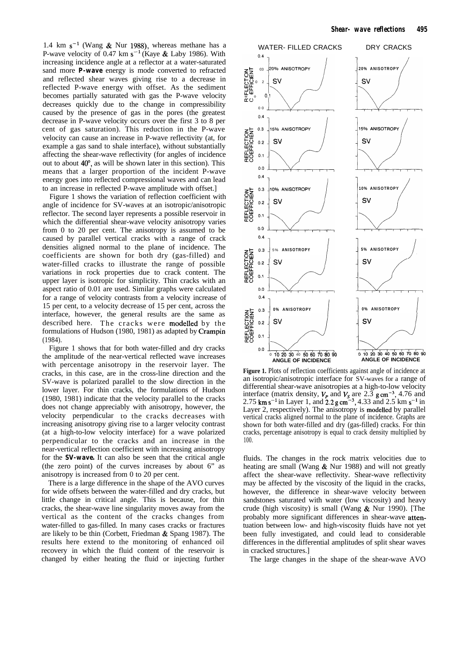1.4 km  $s^{-1}$  (Wang & Nur 1988), whereas methane has a P-wave velocity of 0.47 km  $s^{-1}$  (Kaye & Laby 1986). With increasing incidence angle at a reflector at a water-saturated sand more *P-wave* energy is mode converted to refracted and reflected shear waves giving rise to a decrease in reflected P-wave energy with offset. As the sediment becomes partially saturated with gas the P-wave velocity decreases quickly due to the change in compressibility caused by the presence of gas in the pores (the greatest decrease in P-wave velocity occurs over the first 3 to 8 per cent of gas saturation). This reduction in the P-wave velocity can cause an increase in P-wave reflectivity (at, for example a gas sand to shale interface), without substantially affecting the shear-wave reflectivity (for angles of incidence out to about  $40^\circ$ , as will be shown later in this section). This means that a larger proportion of the incident P-wave energy goes into reflected compressional waves and can lead to an increase in reflected P-wave amplitude with offset.]

Figure 1 shows the variation of reflection coefficient with angle of incidence for SV-waves at an isotropic/anisotropic reflector. The second layer represents a possible reservoir in which the differential shear-wave velocity anisotropy varies from 0 to 20 per cent. The anisotropy is assumed to be caused by parallel vertical cracks with a range of crack densities aligned normal to the plane of incidence. The coefficients are shown for both dry (gas-filled) and water-filled cracks to illustrate the range of possible variations in rock properties due to crack content. The upper layer is isotropic for simplicity. Thin cracks with an aspect ratio of 0.01 are used. Similar graphs were calculated for a range of velocity contrasts from a velocity increase of 15 per cent, to a velocity decrease of 15 per cent, across the interface, however, the general results are the same as described here. The cracks were modelled by the formulations of Hudson (1980, 1981) as adapted by Crampin (1984).

Figure 1 shows that for both water-filled and dry cracks the amplitude of the near-vertical reflected wave increases with percentage anisotropy in the reservoir layer. The cracks, in this case, are in the cross-line direction and the SV-wave is polarized parallel to the slow direction in the lower layer. For thin cracks, the formulations of Hudson (1980, 1981) indicate that the velocity parallel to the cracks does not change appreciably with anisotropy, however, the velocity perpendicular to the cracks decreases with increasing anisotropy giving rise to a larger velocity contrast (at a high-to-low velocity interface) for a wave polarized perpendicular to the cracks and an increase in the near-vertical reflection coefficient with increasing anisotropy for the *SV-wave.* It can also be seen that the critical angle (the zero point) of the curves increases by about 6" as anisotropy is increased from 0 to 20 per cent.

There is a large difference in the shape of the AVO curves for wide offsets between the water-filled and dry cracks, but little change in critical angle. This is because, for thin cracks, the shear-wave line singularity moves away from the vertical as the content of the cracks changes from water-filled to gas-filled. In many cases cracks or fractures are likely to be thin (Corbett, Friedman & Spang 1987). The results here extend to the monitoring of enhanced oil recovery in which the fluid content of the reservoir is changed by either heating the fluid or injecting further



**Figure 1.** Plots of reflection coefficients against angle of incidence at an isotropic/anisotropic interface for SV-waves for a range of differential shear-wave anisotropies at a high-to-low velocity interface (matrix density,  $V_P$  and  $V_S$  are 2.3 g cm<sup>-3</sup>, 4.76 and 2.75 km s<sup>-1</sup> in Layer 1, and 2.2 g cm<sup>-3</sup>, 4.33 and 2.5 km s<sup>-1</sup> in Layer 2, respectively). The anisotropy is modelled by parallel vertical cracks aligned normal to the plane of incidence. Graphs are shown for both water-filled and dry (gas-filled) cracks. For thin cracks, percentage anisotropy is equal to crack density multiplied by 100.

fluids. The changes in the rock matrix velocities due to heating are small (Wang & Nur 1988) and will not greatly affect the shear-wave reflectivity. Shear-wave reflectivity may be affected by the viscosity of the liquid in the cracks, however, the difference in shear-wave velocity between sandstones saturated with water (low viscosity) and heavy crude (high viscosity) is small (Wang  $&$  Nur 1990). [The probably more significant differences in shear-wave attentuation between low- and high-viscosity fluids have not yet been fully investigated, and could lead to considerable differences in the differential amplitudes of split shear waves in cracked structures.]

The large changes in the shape of the shear-wave AVO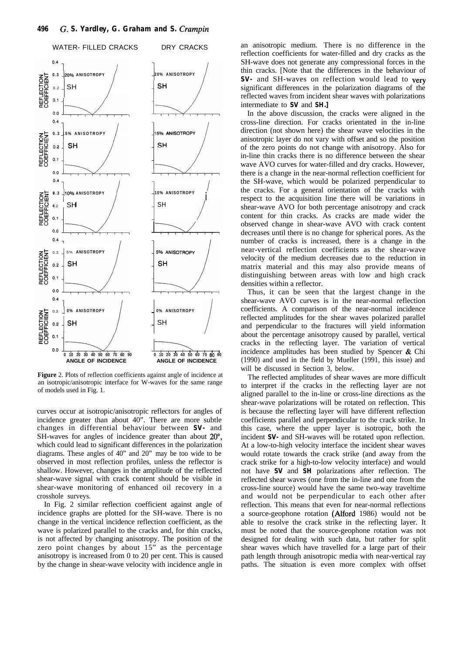

**Figure** 2. Plots of reflection coefficients against angle of incidence at an isotropic/anisotropic interface for W-waves for the same range of models used in Fig. 1.

curves occur at isotropic/anisotropic reflectors for angles of incidence greater than about 40". There are more subtle changes in differential behaviour between *SV-* and SH-waves for angles of incidence greater than about 20", which could lead to significant differences in the polarization diagrams. These angles of 40" and 20" may be too wide to be observed in most reflection profiles, unless the reflector is shallow. However, changes in the amplitude of the reflected shear-wave signal with crack content should be visible in shear-wave monitoring of enhanced oil recovery in a crosshole surveys.

In Fig. 2 similar reflection coefficient against angle of incidence graphs are plotted for the SH-wave. There is no change in the vertical incidence reflection coefficient, as the wave is polarized parallel to the cracks and, for thin cracks, is not affected by changing anisotropy. The position of the zero point changes by about 15" as the percentage anisotropy is increased from 0 to 20 per cent. This is caused by the change in shear-wave velocity with incidence angle in

an anisotropic medium. There is no difference in the reflection coefficients for water-filled and dry cracks as the SH-wave does not generate any compressional forces in the thin cracks. [Note that the differences in the behaviour of *SV-* and SH-waves on reflection would lead to **very** significant differences in the polarization diagrams of the reflected waves from incident shear waves with polarizations intermediate to *SV* and *SH.]*

In the above discussion, the cracks were aligned in the cross-line direction. For cracks orientated in the in-line direction (not shown here) the shear wave velocities in the anisotropic layer do not vary with offset and so the position of the zero points do not change with anisotropy. Also for in-line thin cracks there is no difference between the shear wave AVO curves for water-filled and dry cracks. However, there is a change in the near-normal reflection coefficient for the SH-wave, which would be polarized perpendicular to the cracks. For a general orientation of the cracks with respect to the acquisition line there will be variations in shear-wave AVO for both percentage anisotropy and crack content for thin cracks. As cracks are made wider the observed change in shear-wave AVO with crack content decreases until there is no change for spherical pores. As the number of cracks is increased, there is a change in the near-vertical reflection coefficients as the shear-wave velocity of the medium decreases due to the reduction in matrix material and this may also provide means of distinguishing between areas with low and high crack densities within a reflector.

Thus, it can be seen that the largest change in the shear-wave AVO curves is in the near-normal reflection coefficients. A comparison of the near-normal incidence reflected amplitudes for the shear waves polarized parallel and perpendicular to the fractures will yield information about the percentage anisotropy caused by parallel, vertical cracks in the reflecting layer. The variation of vertical incidence amplitudes has been studied by Spencer & Chi (1990) and used in the field by Mueller (1991, this issue) and will be discussed in Section 3, below.

The reflected amplitudes of shear waves are more difficult to interpret if the cracks in the reflecting layer are not aligned parallel to the in-line or cross-line directions as the shear-wave polarizations will be rotated on reflection. This is because the reflecting layer will have different reflection coefficients parallel and perpendicular to the crack strike. In this case, where the upper layer is isotropic, both the incident *SV-* and SH-waves will be rotated upon reflection. At a low-to-high velocity interface the incident shear waves would rotate towards the crack strike (and away from the crack strike for a high-to-low velocity interface) and would not have *SV* and *SH* polarizations after reflection. The reflected shear waves (one from the in-line and one from the cross-line source) would have the same two-way traveltime and would not be perpendicular to each other after reflection. This means that even for near-normal reflections a source-geophone rotation (Alford 1986) would not be able to resolve the crack strike in the reflecting layer. It must be noted that the source-geophone rotation was not designed for dealing with such data, but rather for split shear waves which have travelled for a large part of their path length through anisotropic media with near-vertical ray paths. The situation is even more complex with offset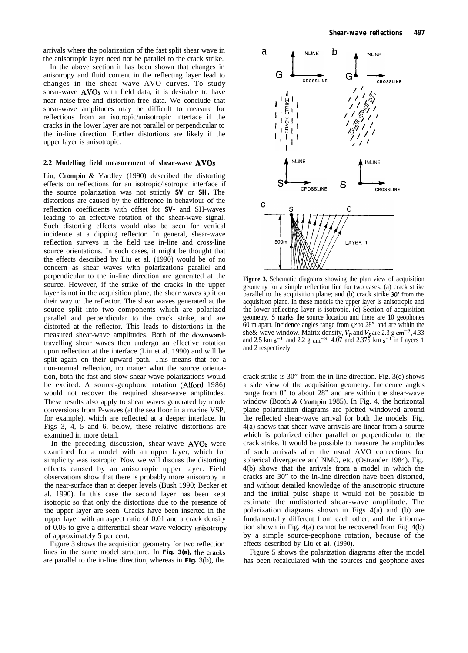arrivals where the polarization of the fast split shear wave in the anisotropic layer need not be parallel to the crack strike.

In the above section it has been shown that changes in anisotropy and fluid content in the reflecting layer lead to changes in the shear wave AVO curves. To study shear-wave AVOs with field data, it is desirable to have near noise-free and distortion-free data. We conclude that shear-wave amplitudes may be difficult to measure for reflections from an isotropic/anisotropic interface if the cracks in the lower layer are not parallel or perpendicular to the in-line direction. Further distortions are likely if the upper layer is anisotropic.

#### **2.2 Modelliug field measurement of shear-wave AVOs**

Liu, Crampin & Yardley (1990) described the distorting effects on reflections for an isotropic/isotropic interface if the source polarization was not strictly *SV* or *SH.* The distortions are caused by the difference in behaviour of the reflection coefficients with offset for *SV-* and SH-waves leading to an effective rotation of the shear-wave signal. Such distorting effects would also be seen for vertical incidence at a dipping reflector. In general, shear-wave reflection surveys in the field use in-line and cross-line source orientations. In such cases, it might be thought that the effects described by Liu et al. (1990) would be of no concern as shear waves with polarizations parallel and perpendicular to the in-line direction are generated at the source. However, if the strike of the cracks in the upper layer is not in the acquisition plane, the shear waves split on their way to the reflector. The shear waves generated at the source split into two components which are polarized parallel and perpendicular to the crack strike, and are distorted at the reflector. This leads to distortions in the measured shear-wave amplitudes. Both of the downwardtravelling shear waves then undergo an effective rotation upon reflection at the interface (Liu et al. 1990) and will be split again on their upward path. This means that for a non-normal reflection, no matter what the source orientation, both the fast and slow shear-wave polarizations would be excited. A source-geophone rotation (Alford 1986) would not recover the required shear-wave amplitudes. These results also apply to shear waves generated by mode conversions from P-waves (at the sea floor in a marine VSP, for example), which are reflected at a deeper interface. In Figs 3, 4, 5 and 6, below, these relative distortions are examined in more detail.

In the preceding discussion, shear-wave AVOs were examined for a model with an upper layer, which for simplicity was isotropic. Now we will discuss the distorting effects caused by an anisotropic upper layer. Field observations show that there is probably more anisotropy in the near-surface than at deeper levels (Bush 1990; Becker et al. 1990). In this case the second layer has been kept isotropic so that only the distortions due to the presence of the upper layer are seen. Cracks have been inserted in the upper layer with an aspect ratio of 0.01 and a crack density of 0.05 to give a differential shear-wave velocity anisotropy of approximately 5 per cent.

Figure 3 shows the acquisition geometry for two reflection lines in the same model structure. In **Fig. 3(a), the cracks** are parallel to the in-line direction, whereas in **Fig.** 3(b), the



**Figure 3.** Schematic diagrams showing the plan view of acquisition geometry for a simple reflection line for two cases: (a) crack strike parallel to the acquisition plane; and (b) crack strike 30" from the acquisition plane. In these models the upper layer is anisotropic and the lower reflecting layer is isotropic. (c) Section of acquisition geometry. S marks the source location and there are 10 geophones  $60$  m apart. Incidence angles range from  $0^{\circ}$  to 28" and are within the she&-wave window. Matrix density,  $V_P$  and  $V_S$  are 2.3 g cm<sup>-3</sup>, 4.33 and 2.5 km  $s^{-1}$ , and 2.2 g cm<sup>-3</sup>, 4.07 and 2.375 km  $s^{-1}$  in Layers 1 and 2 respectively.

crack strike is 30" from the in-line direction. Fig. 3(c) shows a side view of the acquisition geometry. Incidence angles range from 0" to about 28" and are within the shear-wave window (Booth & Crampin 1985). In Fig. 4, the horizontal plane polarization diagrams are plotted windowed around the reflected shear-wave arrival for both the models. Fig. 4(a) shows that shear-wave arrivals are linear from a source which is polarized either parallel or perpendicular to the crack strike. It would be possible to measure the amplitudes of such arrivals after the usual AVO corrections for spherical divergence and NMO, etc. (Ostrander 1984). Fig. 4(b) shows that the arrivals from a model in which the cracks are 30" to the in-line direction have been distorted, and without detailed knowledge of the anisotropic structure and the initial pulse shape it would not be possible to estimate the undistorted shear-wave amplitude. The polarization diagrams shown in Figs 4(a) and (b) are fundamentally different from each other, and the information shown in Fig. 4(a) cannot be recovered from Fig. 4(b) by a simple source-geophone rotation, because of the effects described by Liu et *al.* (1990).

Figure 5 shows the polarization diagrams after the model has been recalculated with the sources and geophone axes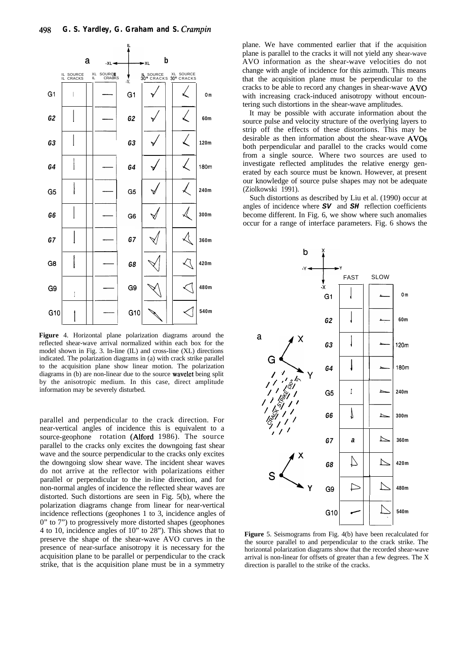

**Figure** 4. Horizontal plane polarization diagrams around the reflected shear-wave arrival normalized within each box for the model shown in Fig. 3. In-line (IL) and cross-line (XL) directions indicated. The polarization diagrams in (a) with crack strike parallel to the acquisition plane show linear motion. The polarization diagrams in (b) are non-linear due to the source wavelet being split by the anisotropic medium. In this case, direct amplitude information may be severely disturbed.

parallel and perpendicular to the crack direction. For near-vertical angles of incidence this is equivalent to a source-geophone rotation (Alford 1986). The source parallel to the cracks only excites the downgoing fast shear wave and the source perpendicular to the cracks only excites the downgoing slow shear wave. The incident shear waves do not arrive at the reflector with polarizations either parallel or perpendicular to the in-line direction, and for non-normal angles of incidence the reflected shear waves are distorted. Such distortions are seen in Fig. 5(b), where the polarization diagrams change from linear for near-vertical incidence reflections (geophones 1 to 3, incidence angles of 0" to 7") to progressively more distorted shapes (geophones 4 to 10, incidence angles of 10" to 28"). This shows that to preserve the shape of the shear-wave AVO curves in the presence of near-surface anisotropy it is necessary for the acquisition plane to be parallel or perpendicular to the crack strike, that is the acquisition plane must be in a symmetry plane. We have commented earlier that if the acquisition plane is parallel to the cracks it will not yield any shear-wave AVO information as the shear-wave velocities do not change with angle of incidence for this azimuth. This means that the acquisition plane must be perpendicular to the cracks to be able to record any changes in shear-wave AVO with increasing crack-induced anisotropy without encountering such distortions in the shear-wave amplitudes.

It may be possible with accurate information about the source pulse and velocity structure of the overlying layers to strip off the effects of these distortions. This may be desirable as then information about the shear-wave AVOs both perpendicular and parallel to the cracks would come from a single source. Where two sources are used to investigate reflected amplitudes the relative energy generated by each source must be known. However, at present our knowledge of source pulse shapes may not be adequate (Ziolkowski 1991).

Such distortions as described by Liu et al. (1990) occur at angles of incidence where *SV* and *SH* reflection coefficients become different. In Fig. 6, we show where such anomalies occur for a range of interface parameters. Fig. 6 shows the



the source parallel to and perpendicular to the crack strike. The horizontal polarization diagrams show that the recorded shear-wave arrival is non-linear for offsets of greater than a few degrees. The X direction is parallel to the strike of the cracks.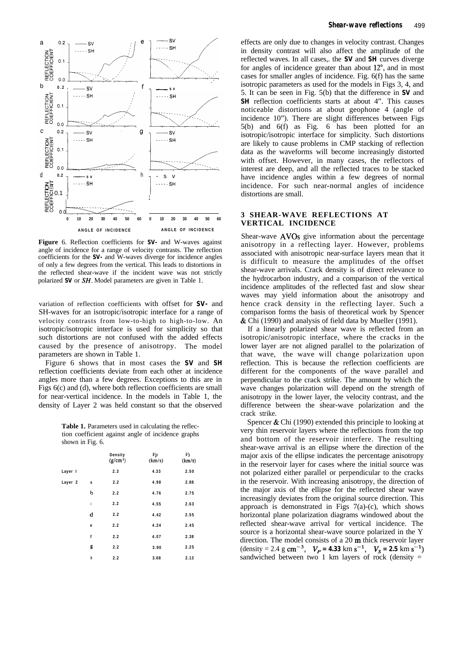

**Figure** 6. Reflection coefficients for *SV-* and W-waves against angle of incidence for a range of velocity contrasts. The reflection coefficients for the *SV-* and W-waves diverge for incidence angles of only a few degrees from the vertical. This leads to distortions in the reflected shear-wave if the incident wave was not strictly polarized *SV* or SH. Model parameters are given in Table 1.

variation of reflection coefficients with offset for *SV-* and SH-waves for an isotropic/isotropic interface for a range of velocity contrasts from low-to-high to high-to-low. An isotropic/isotropic interface is used for simplicity so that such distortions are not confused with the added effects caused by the presence of anisotropy. The model parameters are shown in Table 1.

Figure 6 shows that in most cases the **SV** and **SH** reflection coefficients deviate from each other at incidence angles more than a few degrees. Exceptions to this are in Figs 6(c) and (d), where both reflection coefficients are small for near-vertical incidence. In the models in Table 1, the density of Layer 2 was held constant so that the observed

Table 1. Parameters used in calculating the reflection coefficient against angle of incidence graphs shown in Fig. 6.

|   | Density<br>(g/cm <sup>3</sup> ) | Vp<br>(km/s) | Vs<br>(km/s) |
|---|---------------------------------|--------------|--------------|
|   | 2.3                             | 4.33         | 2.50         |
| a | 2.2                             | 4.98         | 2.88         |
| b | 2.2                             | 4.76         | 2.75         |
| C | 2.2                             | 4.55         | 2.63         |
| d | 2.2                             | 4.42         | 2.55         |
| e | 2.2                             | 4.24         | 2.45         |
| f | 2.2                             | 4.07         | 2.38         |
| g | 2.2                             | 3.90         | 2.25         |
| h | 2.2                             | 3.68         | 2.13         |
|   |                                 |              |              |

effects are only due to changes in velocity contrast. Changes in density contrast will also affect the amplitude of the reflected waves. In all cases,. the *SV* and *SH* curves diverge for angles of incidence greater than about 12°, and in most cases for smaller angles of incidence. Fig. 6(f) has the same isotropic parameters as used for the models in Figs 3, 4, and 5. It can be seen in Fig. 5(b) that the difference in *SV* and *SH* reflection coefficients starts at about 4". This causes noticeable distortions at about geophone 4 (angle of incidence 10"). There are slight differences between Figs 5(b) and 6(f) as Fig. 6 has been plotted for an isotropic/isotropic interface for simplicity. Such distortions are likely to cause problems in CMP stacking of reflection data as the waveforms will become increasingly distorted with offset. However, in many cases, the reflectors of interest are deep, and all the reflected traces to be stacked have incidence angles within a few degrees of normal incidence. For such near-normal angles of incidence distortions are small.

# **3 SHEAR-WAVE REFLECTIONS AT VERTICAL INCIDENCE**

Shear-wave AVOs give information about the percentage anisotropy in a reflecting layer. However, problems associated with anisotropic near-surface layers mean that it is difficult to measure the amplitudes of the offset shear-wave arrivals. Crack density is of direct relevance to the hydrocarbon industry, and a comparison of the vertical incidence amplitudes of the reflected fast and slow shear waves may yield information about the anisotropy and hence crack density in the reflecting layer. Such a comparison forms the basis of theoretical work by Spencer & Chi (1990) and analysis of field data by Mueller (1991).

If a linearly polarized shear wave is reflected from an isotropic/anisotropic interface, where the cracks in the lower layer are not aligned parallel to the polarization of that wave, the wave will change polarization upon reflection. This is because the reflection coefficients are different for the components of the wave parallel and perpendicular to the crack strike. The amount by which the wave changes polarization will depend on the strength of anisotropy in the lower layer, the velocity contrast, and the difference between the shear-wave polarization and the crack strike.

Spencer & Chi (1990) extended this principle to looking at very thin reservoir layers where the reflections from the top and bottom of the reservoir interfere. The resulting shear-wave arrival is an ellipse where the direction of the major axis of the ellipse indicates the percentage anisotropy in the reservoir layer for cases where the initial source was not polarized either parallel or perpendicular to the cracks in the reservoir. With increasing anisotropy, the direction of the major axis of the ellipse for the reflected shear wave increasingly deviates from the original source direction. This approach is demonstrated in Figs  $7(a)-(c)$ , which shows horizontal plane polarization diagrams windowed about the reflected shear-wave arrival for vertical incidence. The source is a horizontal shear-wave source polarized in the Y direction. The model consists of a 20 m thick reservoir layer (density = 2.4 g cm<sup>-3</sup>,  $V_P = 4.33 \text{ km s}^{-1}$ ,  $V_S = 2.5 \text{ km s}^{-1}$ ) sandwiched between two 1 km layers of rock (density  $=$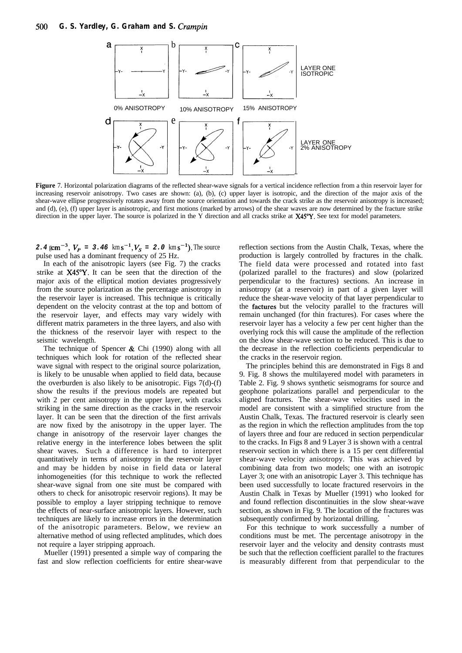

**Figure** 7. Horizontal polarization diagrams of the reflected shear-wave signals for a vertical incidence reflection from a thin reservoir layer for increasing reservoir anisotropy. Two cases are shown: (a), (b), (c) upper layer is isotropic, and the direction of the major axis of the shear-wave ellipse progressively rotates away from the source orientation and towards the crack strike as the reservoir anisotropy is increased; and (d), (e), (f) upper layer is anisotropic, and first motions (marked by arrows) of the shear waves are now determined by the fracture strike direction in the upper layer. The source is polarized in the Y direction and all cracks strike at X45"Y. See text for model parameters.

**2.4**  $\text{gcm}^{-3}$ ,  $V_P = 3.46 \text{ km s}^{-1}$ ,  $V_S = 2.0 \text{ km s}^{-1}$ ). The source pulse used has a dominant frequency of 25 Hz.

In each of the anisotropic layers (see Fig. 7) the cracks strike at X45"Y. It can be seen that the direction of the major axis of the elliptical motion deviates progressively from the source polarization as the percentage anisotropy in the reservoir layer is increased. This technique is critically dependent on the velocity contrast at the top and bottom of the reservoir layer, and effects may vary widely with different matrix parameters in the three layers, and also with the thickness of the reservoir layer with respect to the seismic wavelength.

The technique of Spencer  $& Chi$  (1990) along with all techniques which look for rotation of the reflected shear wave signal with respect to the original source polarization, is likely to be unusable when applied to field data, because the overburden is also likely to be anisotropic. Figs  $7(d)-(f)$ show the results if the previous models are repeated but with 2 per cent anisotropy in the upper layer, with cracks striking in the same direction as the cracks in the reservoir layer. It can be seen that the direction of the first arrivals are now fixed by the anisotropy in the upper layer. The change in anisotropy of the reservoir layer changes the relative energy in the interference lobes between the split shear waves. Such a difference is hard to interpret quantitatively in terms of anisotropy in the reservoir layer and may be hidden by noise in field data or lateral inhomogeneities (for this technique to work the reflected shear-wave signal from one site must be compared with others to check for anisotropic reservoir regions). It may be possible to employ a layer stripping technique to remove the effects of near-surface anisotropic layers. However, such techniques are likely to increase errors in the determination of the anisotropic parameters. Below, we review an alternative method of using reflected amplitudes, which does not require a layer stripping approach.

Mueller (1991) presented a simple way of comparing the fast and slow reflection coefficients for entire shear-wave reflection sections from the Austin Chalk, Texas, where the production is largely controlled by fractures in the chalk. The field data were processed and rotated into fast (polarized parallel to the fractures) and slow (polarized perpendicular to the fractures) sections. An increase in anisotropy (at a reservoir) in part of a given layer will reduce the shear-wave velocity of that layer perpendicular to the factures but the velocity parallel to the fractures will remain unchanged (for thin fractures). For cases where the reservoir layer has a velocity a few per cent higher than the overlying rock this will cause the amplitude of the reflection on the slow shear-wave section to be reduced. This is due to the decrease in the reflection coefficients perpendicular to the cracks in the reservoir region.

The principles behind this are demonstrated in Figs 8 and 9. Fig. 8 shows the multilayered model with parameters in Table 2. Fig. 9 shows synthetic seismograms for source and geophone polarizations parallel and perpendicular to the aligned fractures. The shear-wave velocities used in the model are consistent with a simplified structure from the Austin Chalk, Texas. The fractured reservoir is clearly seen as the region in which the reflection amplitudes from the top of layers three and four are reduced in section perpendicular to the cracks. In Figs 8 and 9 Layer 3 is shown with a central reservoir section in which there is a 15 per cent differential shear-wave velocity anisotropy. This was achieved by combining data from two models; one with an isotropic Layer 3; one with an anisotropic Layer 3. This technique has been used successfully to locate fractured reservoirs in the Austin Chalk in Texas by Mueller (1991) who looked for and found reflection discontinuities in the slow shear-wave section, as shown in Fig. 9. The location of the fractures was subsequently confirmed by horizontal drilling.

For this technique to work successfully a number of conditions must be met. The percentage anisotropy in the reservoir layer and the velocity and density contrasts must be such that the reflection coefficient parallel to the fractures is measurably different from that perpendicular to the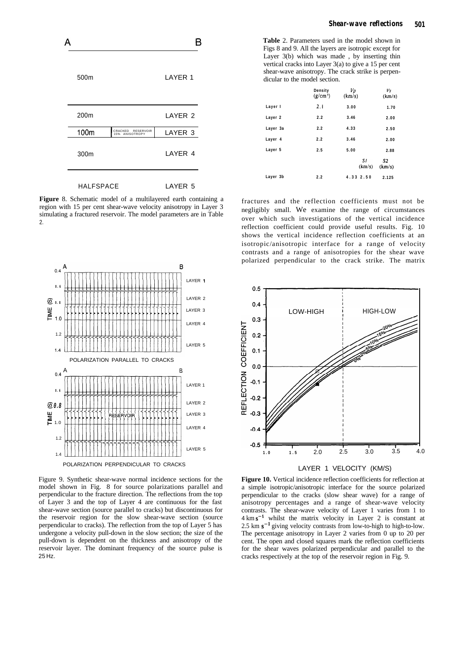



**Figure** 8. Schematic model of a multilayered earth containing a region with 15 per cent shear-wave velocity anisotropy in Layer 3 simulating a fractured reservoir. The model parameters are in Table 2.



model shown in Fig. 8 for source polarizations parallel and perpendicular to the fracture direction. The reflections from the top of Layer 3 and the top of Layer 4 are continuous for the fast shear-wave section (source parallel to cracks) but discontinuous for the reservoir region for the slow shear-wave section (source  $4 \text{ km s}^{-1}$  whilst the matrix velocity in Layer 2 is constant at perpendicular to cracks). The reflection from the top of Layer 5 has undergone a velocity pull-down in the slow section; the size of the pull-down is dependent on the thickness and anisotropy of the reservoir layer. The dominant frequency of the source pulse is 25 Hz.

**Table** 2. Parameters used in the model shown in Figs 8 and 9. All the layers are isotropic except for Layer 3(b) which was made , by inserting thin vertical cracks into Layer 3(a) to give a 15 per cent shear-wave anisotropy. The crack strike is perpendicular to the model section.

|                    | Density<br>$(g/cm^3)$ | Vp<br>(km/s)  | Vs<br>(km/s)             |
|--------------------|-----------------------|---------------|--------------------------|
| Layer I            | 2.1                   | 3.00          | 1.70                     |
| Layer <sub>2</sub> | 2.2                   | 3.46          | 2.00                     |
| Layer 3a           | 2.2                   | 4.33          | 2.50                     |
| Layer 4            | 2.2                   | 3.46          | 2.00                     |
| Layer 5            | 2.5                   | 5.00          | 2.88                     |
|                    |                       | SI.<br>(km/s) | S <sub>2</sub><br>(km/s) |
| Layer 3b           | 2.2                   | 4.33 2.50     | 2.125                    |

fractures and the reflection coefficients must not be negligibly small. We examine the range of circumstances over which such investigations of the vertical incidence reflection coefficient could provide useful results. Fig. 10 shows the vertical incidence reflection coefficients at an isotropic/anisotropic interface for a range of velocity contrasts and a range of anisotropies for the shear wave polarized perpendicular to the crack strike. The matrix



Figure 9. Synthetic shear-wave normal incidence sections for the **Figure 10.** Vertical incidence reflection coefficients for reflection at a simple isotropic/anisotropic interface for the source polarized perpendicular to the cracks (slow shear wave) for a range of anisotropy percentages and a range of shear-wave velocity contrasts. The shear-wave velocity of Layer 1 varies from 1 to 2.5 km  $s^{-1}$  giving velocity contrasts from low-to-high to high-to-low. The percentage anisotropy in Layer 2 varies from 0 up to 20 per cent. The open and closed squares mark the reflection coefficients for the shear waves polarized perpendicular and parallel to the cracks respectively at the top of the reservoir region in Fig. 9.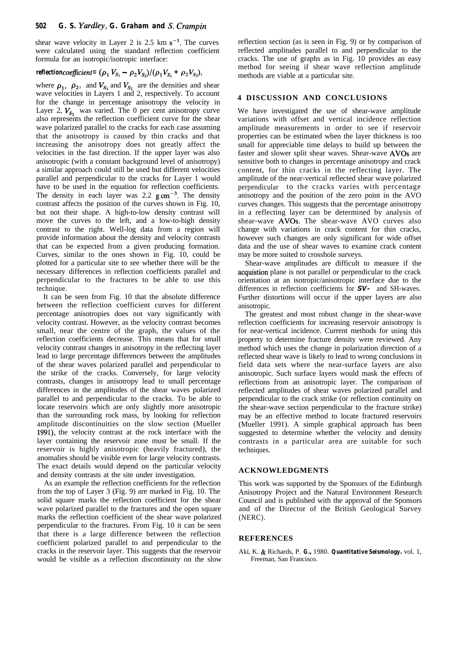shear wave velocity in Layer 2 is 2.5 km  $s^{-1}$ . The curves were calculated using the standard reflection coefficient formula for an isotropic/isotropic interface:

# *reflectioncoefficient***=**  $(\rho_1 V_{S_1} - \rho_2 V_{S_2})/(\rho_1 V_{S_1} + \rho_2 V_{S_2}),$

where  $\rho_1$ ,  $\rho_2$ , and  $V_{S_1}$  and  $V_{S_2}$  are the densities and shear wave velocities in Layers 1 and 2, respectively. To account for the change in percentage anisotropy the velocity in Layer 2,  $V_{s_2}$  was varied. The 0 per cent anisotropy curve also represents the reflection coefficient curve for the shear wave polarized parallel to the cracks for each case assuming that the anisotropy is caused by thin cracks and that increasing the anisotropy does not greatly affect the velocities in the fast direction. If the upper layer was also anisotropic (with a constant background level of anisotropy) a similar approach could still be used but different velocities parallel and perpendicular to the cracks for Layer 1 would have to be used in the equation for reflection coefficients. The density in each layer was 2.2  $g \text{ cm}^{-3}$ . The density contrast affects the position of the curves shown in Fig. 10, but not their shape. A high-to-low density contrast will move the curves to the left, and a low-to-high density contrast to the right. Well-log data from a region will provide information about the density and velocity contrasts that can be expected from a given producing formation. Curves, similar to the ones shown in Fig. 10, could be plotted for a particular site to see whether there will be the necessary differences in reflection coefficients parallel and perpendicular to the fractures to be able to use this technique.

It can be seen from Fig. 10 that the absolute difference between the reflection coefficient curves for different percentage anisotropies does not vary significantly with velocity contrast. However, as the velocity contrast becomes small, near the centre of the graph, the values of the reflection coefficients decrease. This means that for small velocity contrast changes in anisotropy in the reflecting layer lead to large percentage differences between the amplitudes of the shear waves polarized parallel and perpendicular to the strike of the cracks. Conversely, for large velocity contrasts, changes in anisotropy lead to small percentage differences in the amplitudes of the shear waves polarized parallel to and perpendicular to the cracks. To be able to locate reservoirs which are only slightly more anisotropic than the surrounding rock mass, by looking for reflection amplitude discontinuities on the slow section (Mueller 1991), the velocity contrast at the rock interface with the layer containing the reservoir zone must be small. If the reservoir is highly anisotropic (heavily fractured), the anomalies should be visible even for large velocity contrasts. The exact details would depend on the particular velocity and density contrasts at the site under investigation.

As an example the reflection coefficients for the reflection from the top of Layer 3 (Fig. 9) are marked in Fig. 10. The solid square marks the reflection coefficient for the shear wave polarized parallel to the fractures and the open square marks the reflection coefficient of the shear wave polarized perpendicular to the fractures. From Fig. 10 it can be seen that there is a large difference between the reflection coefficient polarized parallel to and perpendicular to the cracks in the reservoir layer. This suggests that the reservoir would be visible as a reflection discontinuity on the slow reflection section (as is seen in Fig. 9) or by comparison of reflected amplitudes parallel to and perpendicular to the cracks. The use of graphs as in Fig. 10 provides an easy method for seeing if shear wave reflection amplitude methods are viable at a particular site.

#### **4 DISCUSSION AND CONCLUSIONS**

We have investigated the use of shear-wave amplitude variations with offset and vertical incidence reflection amplitude measurements in order to see if reservoir properties can be estimated when the layer thickness is too small for appreciable time delays to build up between the faster and slower split shear waves. Shear-wave AVOs are sensitive both to changes in percentage anisotropy and crack content, for thin cracks in the reflecting layer. The amplitude of the near-vertical reflected shear wave polarized perpendicular to the cracks varies with percentage anisotropy and the position of the zero point in the AVO curves changes. This suggests that the percentage anisotropy in a reflecting layer can be determined by analysis of shear-wave AVOs. The shear-wave AVO curves also change with variations in crack content for thin cracks, however such changes are only significant for wide offset data and the use of shear waves to examine crack content may be more suited to crosshole surveys.

Shear-wave amplitudes are difficult to measure if the acquistion plane is not parallel or perpendicular to the crack orientation at an isotropic/anisotropic interface due to the differences in reflection coefficients for *SV-* and SH-waves. Further distortions will occur if the upper layers are also anisotropic.

The greatest and most robust change in the shear-wave reflection coefficients for increasing reservoir anisotropy is for near-vertical incidence. Current methods for using this property to determine fracture density were reviewed. Any method which uses the change in polarization direction of a reflected shear wave is likely to lead to wrong conclusions in field data sets where the near-surface layers are also anisotropic. Such surface layers would mask the effects of reflections from an anisotropic layer. The comparison of reflected amplitudes of shear waves polarized parallel and perpendicular to the crack strike (or reflection continuity on the shear-wave section perpendicular to the fracture strike) may be an effective method to locate fractured reservoirs (Mueller 1991). A simple graphical approach has been suggested to determine whether the velocity and density contrasts in a particular area are suitable for such techniques.

#### **ACKNOWLEDGMENTS**

This work was supported by the Sponsors of the Edinburgh Anisotropy Project and the Natural Environment Research Council and is published with the approval of the Sponsors and of the Director of the British Geological Survey (NERC).

# **REFERENCES**

Aki, K. & Richards, P. *G.,* 1980. *Quantitative Seismology.* vol. 1, Freeman, San Francisco.